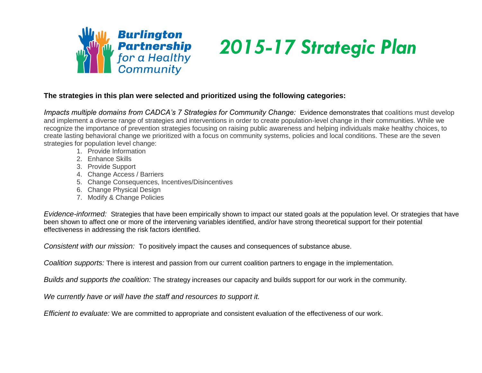

# **Burlington<br>
Partnership 2015-17 Strategic Plan**<br> *for* a Healthy<br>
Community

### **The strategies in this plan were selected and prioritized using the following categories:**

*Impacts multiple domains from CADCA's 7 Strategies for Community Change:* Evidence demonstrates that coalitions must develop and implement a diverse range of strategies and interventions in order to create population-level change in their communities. While we recognize the importance of prevention strategies focusing on raising public awareness and helping individuals make healthy choices, to create lasting behavioral change we prioritized with a focus on community systems, policies and local conditions. These are the seven strategies for population level change:

- 1. Provide Information
- 2. Enhance Skills
- 3. Provide Support
- 4. Change Access / Barriers
- 5. Change Consequences, Incentives/Disincentives
- 6. Change Physical Design
- 7. Modify & Change Policies

*Evidence-informed:* Strategies that have been empirically shown to impact our stated goals at the population level. Or strategies that have been shown to affect one or more of the intervening variables identified, and/or have strong theoretical support for their potential effectiveness in addressing the risk factors identified.

*Consistent with our mission:* To positively impact the causes and consequences of substance abuse.

*Coalition supports:* There is interest and passion from our current coalition partners to engage in the implementation.

*Builds and supports the coalition:* The strategy increases our capacity and builds support for our work in the community.

*We currently have or will have the staff and resources to support it.* 

*Efficient to evaluate:* We are committed to appropriate and consistent evaluation of the effectiveness of our work.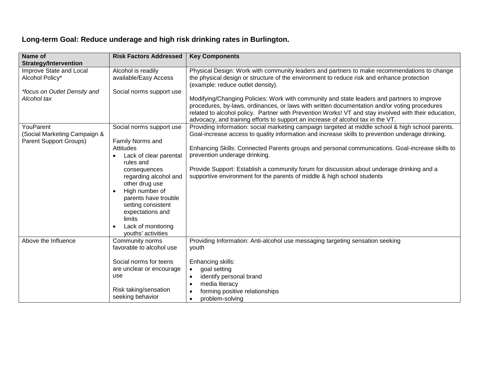# **Long-term Goal: Reduce underage and high risk drinking rates in Burlington.**

| Name of                      | <b>Risk Factors Addressed</b>     | <b>Key Components</b>                                                                                                                                                                                |
|------------------------------|-----------------------------------|------------------------------------------------------------------------------------------------------------------------------------------------------------------------------------------------------|
| <b>Strategy/Intervention</b> |                                   |                                                                                                                                                                                                      |
| Improve State and Local      | Alcohol is readily                | Physical Design: Work with community leaders and partners to make recommendations to change                                                                                                          |
| Alcohol Policy*              | available/Easy Access             | the physical design or structure of the environment to reduce risk and enhance protection                                                                                                            |
|                              |                                   | (example: reduce outlet density).                                                                                                                                                                    |
| *focus on Outlet Density and | Social norms support use          |                                                                                                                                                                                                      |
| Alcohol tax                  |                                   | Modifying/Changing Policies: Work with community and state leaders and partners to improve                                                                                                           |
|                              |                                   | procedures, by-laws, ordinances, or laws with written documentation and/or voting procedures<br>related to alcohol policy. Partner with Prevention Works! VT and stay involved with their education, |
|                              |                                   | advocacy, and training efforts to support an increase of alcohol tax in the VT.                                                                                                                      |
| YouParent                    | Social norms support use          | Providing Information: social marketing campaign targeted at middle school & high school parents.                                                                                                    |
| (Social Marketing Campaign & |                                   | Goal-increase access to quality information and increase skills to prevention underage drinking.                                                                                                     |
| Parent Support Groups)       | Family Norms and                  |                                                                                                                                                                                                      |
|                              | <b>Attitudes</b>                  | Enhancing Skills: Connected Parents groups and personal communications. Goal-increase skills to                                                                                                      |
|                              | Lack of clear parental            | prevention underage drinking.                                                                                                                                                                        |
|                              | rules and                         |                                                                                                                                                                                                      |
|                              | consequences                      | Provide Support: Establish a community forum for discussion about underage drinking and a                                                                                                            |
|                              | regarding alcohol and             | supportive environment for the parents of middle & high school students                                                                                                                              |
|                              | other drug use<br>High number of  |                                                                                                                                                                                                      |
|                              | $\bullet$<br>parents have trouble |                                                                                                                                                                                                      |
|                              | setting consistent                |                                                                                                                                                                                                      |
|                              | expectations and                  |                                                                                                                                                                                                      |
|                              | limits                            |                                                                                                                                                                                                      |
|                              | Lack of monitoring                |                                                                                                                                                                                                      |
|                              | youths' activities                |                                                                                                                                                                                                      |
| Above the Influence          | Community norms                   | Providing Information: Anti-alcohol use messaging targeting sensation seeking                                                                                                                        |
|                              | favorable to alcohol use          | youth                                                                                                                                                                                                |
|                              |                                   |                                                                                                                                                                                                      |
|                              | Social norms for teens            | Enhancing skills:                                                                                                                                                                                    |
|                              | are unclear or encourage<br>use   | goal setting<br>identify personal brand                                                                                                                                                              |
|                              |                                   | media literacy                                                                                                                                                                                       |
|                              | Risk taking/sensation             | forming positive relationships                                                                                                                                                                       |
|                              | seeking behavior                  | problem-solving<br>$\bullet$                                                                                                                                                                         |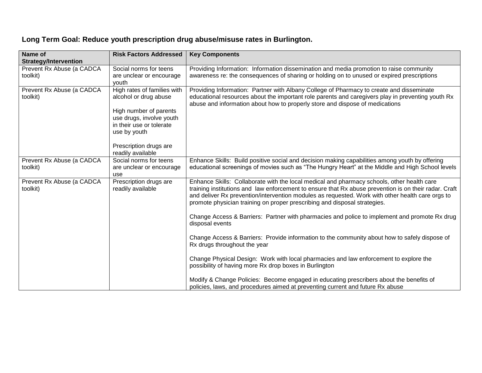# **Long Term Goal: Reduce youth prescription drug abuse/misuse rates in Burlington.**

| Name of<br><b>Strategy/Intervention</b> | <b>Risk Factors Addressed</b>                                                                                                                                                                         | <b>Key Components</b>                                                                                                                                                                                                                                                                                                                                                                                                                                                                                                                                                                                                                     |
|-----------------------------------------|-------------------------------------------------------------------------------------------------------------------------------------------------------------------------------------------------------|-------------------------------------------------------------------------------------------------------------------------------------------------------------------------------------------------------------------------------------------------------------------------------------------------------------------------------------------------------------------------------------------------------------------------------------------------------------------------------------------------------------------------------------------------------------------------------------------------------------------------------------------|
| Prevent Rx Abuse (a CADCA<br>toolkit)   | Social norms for teens<br>are unclear or encourage<br>youth                                                                                                                                           | Providing Information: Information dissemination and media promotion to raise community<br>awareness re: the consequences of sharing or holding on to unused or expired prescriptions                                                                                                                                                                                                                                                                                                                                                                                                                                                     |
| Prevent Rx Abuse (a CADCA<br>toolkit)   | High rates of families with<br>alcohol or drug abuse<br>High number of parents<br>use drugs, involve youth<br>in their use or tolerate<br>use by youth<br>Prescription drugs are<br>readily available | Providing Information: Partner with Albany College of Pharmacy to create and disseminate<br>educational resources about the important role parents and caregivers play in preventing youth Rx<br>abuse and information about how to properly store and dispose of medications                                                                                                                                                                                                                                                                                                                                                             |
| Prevent Rx Abuse (a CADCA<br>toolkit)   | Social norms for teens<br>are unclear or encourage<br>use                                                                                                                                             | Enhance Skills: Build positive social and decision making capabilities among youth by offering<br>educational screenings of movies such as "The Hungry Heart" at the Middle and High School levels                                                                                                                                                                                                                                                                                                                                                                                                                                        |
| Prevent Rx Abuse (a CADCA<br>toolkit)   | Prescription drugs are<br>readily available                                                                                                                                                           | Enhance Skills: Collaborate with the local medical and pharmacy schools, other health care<br>training institutions and law enforcement to ensure that Rx abuse prevention is on their radar. Craft<br>and deliver Rx prevention/intervention modules as requested. Work with other health care orgs to<br>promote physician training on proper prescribing and disposal strategies.<br>Change Access & Barriers: Partner with pharmacies and police to implement and promote Rx drug<br>disposal events<br>Change Access & Barriers: Provide information to the community about how to safely dispose of<br>Rx drugs throughout the year |
|                                         |                                                                                                                                                                                                       | Change Physical Design: Work with local pharmacies and law enforcement to explore the<br>possibility of having more Rx drop boxes in Burlington<br>Modify & Change Policies: Become engaged in educating prescribers about the benefits of<br>policies, laws, and procedures aimed at preventing current and future Rx abuse                                                                                                                                                                                                                                                                                                              |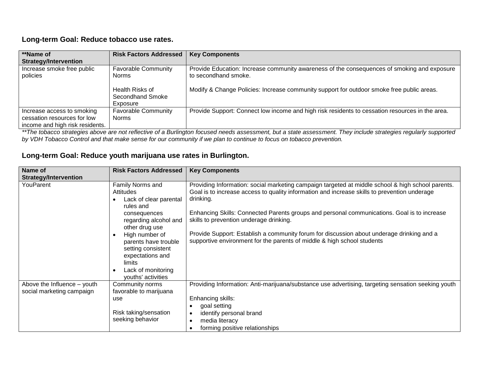#### **Long-term Goal: Reduce tobacco use rates.**

| **Name of                       | <b>Risk Factors Addressed</b> | <b>Key Components</b>                                                                           |
|---------------------------------|-------------------------------|-------------------------------------------------------------------------------------------------|
| <b>Strategy/Intervention</b>    |                               |                                                                                                 |
| Increase smoke free public      | <b>Favorable Community</b>    | Provide Education: Increase community awareness of the consequences of smoking and exposure     |
| policies                        | <b>Norms</b>                  | to secondhand smoke.                                                                            |
|                                 |                               |                                                                                                 |
|                                 | Health Risks of               | Modify & Change Policies: Increase community support for outdoor smoke free public areas.       |
|                                 | Secondhand Smoke              |                                                                                                 |
|                                 | Exposure                      |                                                                                                 |
| Increase access to smoking      | <b>Favorable Community</b>    | Provide Support: Connect low income and high risk residents to cessation resources in the area. |
| cessation resources for low     | <b>Norms</b>                  |                                                                                                 |
| income and high risk residents. |                               |                                                                                                 |

*\*\*The tobacco strategies above are not reflective of a Burlington focused needs assessment, but a state assessment. They include strategies regularly supported by VDH Tobacco Control and that make sense for our community if we plan to continue to focus on tobacco prevention.* 

## **Long-term Goal: Reduce youth marijuana use rates in Burlington.**

| Name of                      | <b>Risk Factors Addressed</b>          | <b>Key Components</b>                                                                                                                                                |
|------------------------------|----------------------------------------|----------------------------------------------------------------------------------------------------------------------------------------------------------------------|
| <b>Strategy/Intervention</b> |                                        |                                                                                                                                                                      |
| YouParent                    | Family Norms and                       | Providing Information: social marketing campaign targeted at middle school & high school parents.                                                                    |
|                              | Attitudes                              | Goal is to increase access to quality information and increase skills to prevention underage                                                                         |
|                              | Lack of clear parental                 | drinking.                                                                                                                                                            |
|                              | rules and                              |                                                                                                                                                                      |
|                              | consequences                           | Enhancing Skills: Connected Parents groups and personal communications. Goal is to increase                                                                          |
|                              | regarding alcohol and                  | skills to prevention underage drinking.                                                                                                                              |
|                              | other drug use                         |                                                                                                                                                                      |
|                              | High number of                         | Provide Support: Establish a community forum for discussion about underage drinking and a<br>supportive environment for the parents of middle & high school students |
|                              | parents have trouble                   |                                                                                                                                                                      |
|                              | setting consistent<br>expectations and |                                                                                                                                                                      |
|                              | limits                                 |                                                                                                                                                                      |
|                              | Lack of monitoring                     |                                                                                                                                                                      |
|                              | youths' activities                     |                                                                                                                                                                      |
| Above the Influence - youth  | Community norms                        | Providing Information: Anti-marijuana/substance use advertising, targeting sensation seeking youth                                                                   |
| social marketing campaign    | favorable to marijuana                 |                                                                                                                                                                      |
|                              | use                                    | Enhancing skills:                                                                                                                                                    |
|                              |                                        | goal setting                                                                                                                                                         |
|                              | Risk taking/sensation                  | identify personal brand                                                                                                                                              |
|                              | seeking behavior                       | media literacy<br>$\bullet$                                                                                                                                          |
|                              |                                        | forming positive relationships                                                                                                                                       |